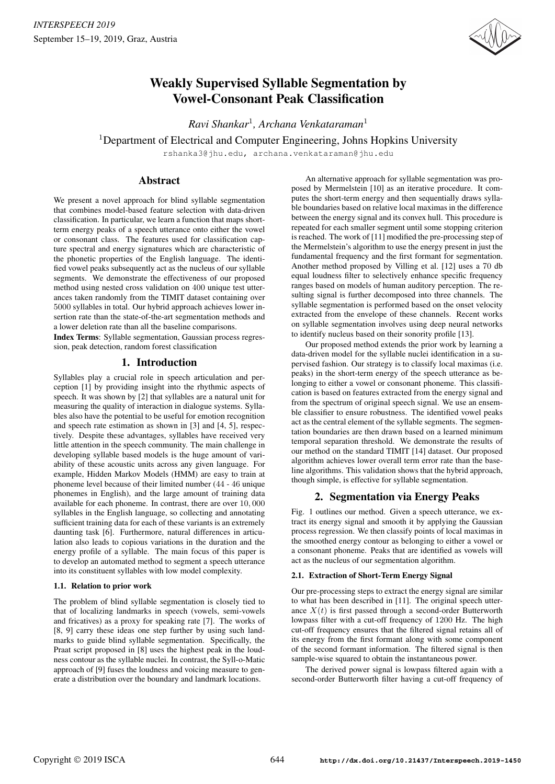

# Weakly Supervised Syllable Segmentation by Vowel-Consonant Peak Classification

*Ravi Shankar*<sup>1</sup> *, Archana Venkataraman*<sup>1</sup>

$$
{}^{1}
$$
Department of Electrical and Computer Engineering, Johns Hopkins University

rshanka3@jhu.edu, archana.venkataraman@jhu.edu

# Abstract

We present a novel approach for blind syllable segmentation that combines model-based feature selection with data-driven classification. In particular, we learn a function that maps shortterm energy peaks of a speech utterance onto either the vowel or consonant class. The features used for classification capture spectral and energy signatures which are characteristic of the phonetic properties of the English language. The identified vowel peaks subsequently act as the nucleus of our syllable segments. We demonstrate the effectiveness of our proposed method using nested cross validation on 400 unique test utterances taken randomly from the TIMIT dataset containing over 5000 syllables in total. Our hybrid approach achieves lower insertion rate than the state-of-the-art segmentation methods and a lower deletion rate than all the baseline comparisons.

Index Terms: Syllable segmentation, Gaussian process regression, peak detection, random forest classification

# 1. Introduction

Syllables play a crucial role in speech articulation and perception [1] by providing insight into the rhythmic aspects of speech. It was shown by [2] that syllables are a natural unit for measuring the quality of interaction in dialogue systems. Syllables also have the potential to be useful for emotion recognition and speech rate estimation as shown in [3] and [4, 5], respectively. Despite these advantages, syllables have received very little attention in the speech community. The main challenge in developing syllable based models is the huge amount of variability of these acoustic units across any given language. For example, Hidden Markov Models (HMM) are easy to train at phoneme level because of their limited number (44 - 46 unique phonemes in English), and the large amount of training data available for each phoneme. In contrast, there are over 10, 000 syllables in the English language, so collecting and annotating sufficient training data for each of these variants is an extremely daunting task [6]. Furthermore, natural differences in articulation also leads to copious variations in the duration and the energy profile of a syllable. The main focus of this paper is to develop an automated method to segment a speech utterance into its constituent syllables with low model complexity.

## 1.1. Relation to prior work

The problem of blind syllable segmentation is closely tied to that of localizing landmarks in speech (vowels, semi-vowels and fricatives) as a proxy for speaking rate [7]. The works of [8, 9] carry these ideas one step further by using such landmarks to guide blind syllable segmentation. Specifically, the Praat script proposed in [8] uses the highest peak in the loudness contour as the syllable nuclei. In contrast, the Syll-o-Matic approach of [9] fuses the loudness and voicing measure to generate a distribution over the boundary and landmark locations.

An alternative approach for syllable segmentation was proposed by Mermelstein [10] as an iterative procedure. It computes the short-term energy and then sequentially draws syllable boundaries based on relative local maximas in the difference between the energy signal and its convex hull. This procedure is repeated for each smaller segment until some stopping criterion is reached. The work of [11] modified the pre-processing step of the Mermelstein's algorithm to use the energy present in just the fundamental frequency and the first formant for segmentation. Another method proposed by Villing et al. [12] uses a 70 db equal loudness filter to selectively enhance specific frequency ranges based on models of human auditory perception. The resulting signal is further decomposed into three channels. The syllable segmentation is performed based on the onset velocity extracted from the envelope of these channels. Recent works on syllable segmentation involves using deep neural networks to identify nucleus based on their sonority profile [13].

Our proposed method extends the prior work by learning a data-driven model for the syllable nuclei identification in a supervised fashion. Our strategy is to classify local maximas (i.e. peaks) in the short-term energy of the speech utterance as belonging to either a vowel or consonant phoneme. This classification is based on features extracted from the energy signal and from the spectrum of original speech signal. We use an ensemble classifier to ensure robustness. The identified vowel peaks act as the central element of the syllable segments. The segmentation boundaries are then drawn based on a learned minimum temporal separation threshold. We demonstrate the results of our method on the standard TIMIT [14] dataset. Our proposed algorithm achieves lower overall term error rate than the baseline algorithms. This validation shows that the hybrid approach, though simple, is effective for syllable segmentation.

# 2. Segmentation via Energy Peaks

Fig. 1 outlines our method. Given a speech utterance, we extract its energy signal and smooth it by applying the Gaussian process regression. We then classify points of local maximas in the smoothed energy contour as belonging to either a vowel or a consonant phoneme. Peaks that are identified as vowels will act as the nucleus of our segmentation algorithm.

## 2.1. Extraction of Short-Term Energy Signal

Our pre-processing steps to extract the energy signal are similar to what has been described in [11]. The original speech utterance  $X(t)$  is first passed through a second-order Butterworth lowpass filter with a cut-off frequency of 1200 Hz. The high cut-off frequency ensures that the filtered signal retains all of its energy from the first formant along with some component of the second formant information. The filtered signal is then sample-wise squared to obtain the instantaneous power.

The derived power signal is lowpass filtered again with a second-order Butterworth filter having a cut-off frequency of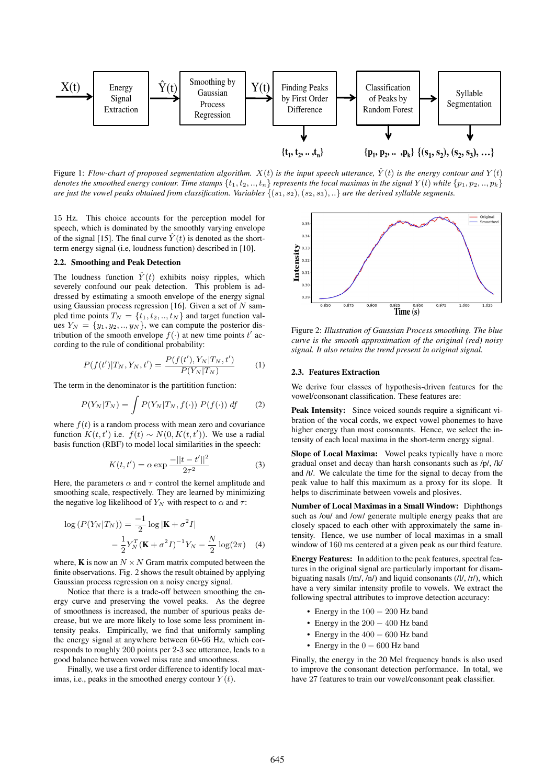

Figure 1: *Flow-chart of proposed segmentation algorithm.*  $X(t)$  *is the input speech utterance,*  $\hat{Y}(t)$  *is the energy contour and*  $Y(t)$ *denotes the smoothed energy contour. Time stamps*  $\{t_1, t_2, ..., t_n\}$  *represents the local maximas in the signal*  $Y(t)$  *while*  $\{p_1, p_2, ..., p_k\}$ are just the vowel peaks obtained from classification. Variables  $\{(s_1, s_2), (s_2, s_3), ...\}$  are the derived syllable segments.

15 Hz. This choice accounts for the perception model for speech, which is dominated by the smoothly varying envelope of the signal [15]. The final curve  $\hat{Y}(t)$  is denoted as the shortterm energy signal (i.e, loudness function) described in [10].

#### 2.2. Smoothing and Peak Detection

The loudness function  $\hat{Y}(t)$  exhibits noisy ripples, which severely confound our peak detection. This problem is addressed by estimating a smooth envelope of the energy signal using Gaussian process regression [16]. Given a set of  $N$  sampled time points  $T_N = \{t_1, t_2, \ldots, t_N\}$  and target function values  $Y_N = \{y_1, y_2, \ldots, y_N\}$ , we can compute the posterior distribution of the smooth envelope  $f(\cdot)$  at new time points t' according to the rule of conditional probability:

$$
P(f(t')|T_N, Y_N, t') = \frac{P(f(t'), Y_N|T_N, t')}{P(Y_N|T_N)} \tag{1}
$$

The term in the denominator is the partitition function:

$$
P(Y_N|T_N) = \int P(Y_N|T_N, f(\cdot)) P(f(\cdot)) df \qquad (2)
$$

where  $f(t)$  is a random process with mean zero and covariance function  $K(t, t')$  i.e.  $f(t) \sim N(0, K(t, t'))$ . We use a radial basis function (RBF) to model local similarities in the speech:

$$
K(t, t') = \alpha \exp \frac{-||t - t'||^2}{2\tau^2}
$$
 (3)

Here, the parameters  $\alpha$  and  $\tau$  control the kernel amplitude and smoothing scale, respectively. They are learned by minimizing the negative log likelihood of  $Y_N$  with respect to  $\alpha$  and  $\tau$ :

$$
\log (P(Y_N|T_N)) = \frac{-1}{2} \log |\mathbf{K} + \sigma^2 I|
$$

$$
- \frac{1}{2} Y_N^T (\mathbf{K} + \sigma^2 I)^{-1} Y_N - \frac{N}{2} \log(2\pi) \quad (4)
$$

where, **K** is now an  $N \times N$  Gram matrix computed between the finite observations. Fig. 2 shows the result obtained by applying Gaussian process regression on a noisy energy signal.

Notice that there is a trade-off between smoothing the energy curve and preserving the vowel peaks. As the degree of smoothness is increased, the number of spurious peaks decrease, but we are more likely to lose some less prominent intensity peaks. Empirically, we find that uniformly sampling the energy signal at anywhere between 60-66 Hz, which corresponds to roughly 200 points per 2-3 sec utterance, leads to a good balance between vowel miss rate and smoothness.

Finally, we use a first order difference to identify local maximas, i.e., peaks in the smoothed energy contour  $Y(t)$ .



Figure 2: *Illustration of Gaussian Process smoothing. The blue curve is the smooth approximation of the original (red) noisy signal. It also retains the trend present in original signal.*

#### 2.3. Features Extraction

We derive four classes of hypothesis-driven features for the vowel/consonant classification. These features are:

Peak Intensity: Since voiced sounds require a significant vibration of the vocal cords, we expect vowel phonemes to have higher energy than most consonants. Hence, we select the intensity of each local maxima in the short-term energy signal.

Slope of Local Maxima: Vowel peaks typically have a more gradual onset and decay than harsh consonants such as /p/, /k/ and /t/. We calculate the time for the signal to decay from the peak value to half this maximum as a proxy for its slope. It helps to discriminate between vowels and plosives.

Number of Local Maximas in a Small Window: Diphthongs such as /ou/ and /ow/ generate multiple energy peaks that are closely spaced to each other with approximately the same intensity. Hence, we use number of local maximas in a small window of 160 ms centered at a given peak as our third feature.

Energy Features: In addition to the peak features, spectral features in the original signal are particularly important for disambiguating nasals  $(\text{m}, \text{m})$  and liquid consonants  $(\text{m}, \text{m})$ , which have a very similar intensity profile to vowels. We extract the following spectral attributes to improve detection accuracy:

- Energy in the  $100 200$  Hz band
- Energy in the 200 400 Hz band
- Energy in the 400 600 Hz band
- Energy in the  $0 600$  Hz band

Finally, the energy in the 20 Mel frequency bands is also used to improve the consonant detection performance. In total, we have 27 features to train our vowel/consonant peak classifier.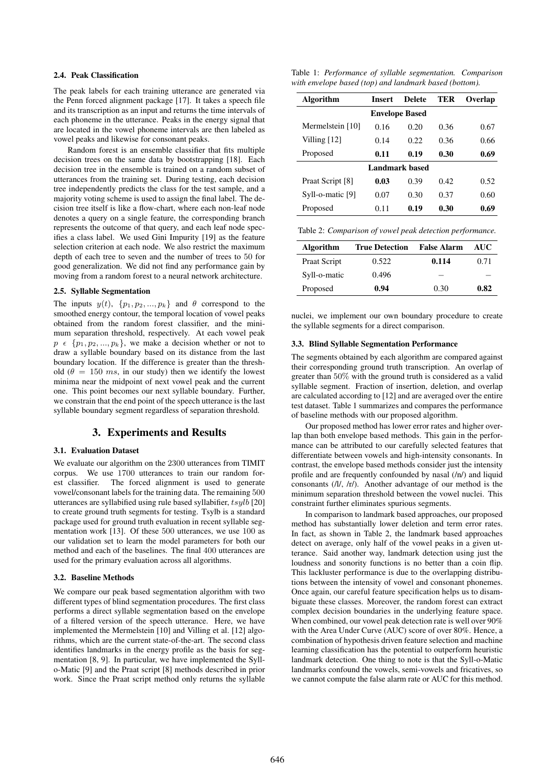## 2.4. Peak Classification

The peak labels for each training utterance are generated via the Penn forced alignment package [17]. It takes a speech file and its transcription as an input and returns the time intervals of each phoneme in the utterance. Peaks in the energy signal that are located in the vowel phoneme intervals are then labeled as vowel peaks and likewise for consonant peaks.

Random forest is an ensemble classifier that fits multiple decision trees on the same data by bootstrapping [18]. Each decision tree in the ensemble is trained on a random subset of utterances from the training set. During testing, each decision tree independently predicts the class for the test sample, and a majority voting scheme is used to assign the final label. The decision tree itself is like a flow-chart, where each non-leaf node denotes a query on a single feature, the corresponding branch represents the outcome of that query, and each leaf node specifies a class label. We used Gini Impurity [19] as the feature selection criterion at each node. We also restrict the maximum depth of each tree to seven and the number of trees to 50 for good generalization. We did not find any performance gain by moving from a random forest to a neural network architecture.

#### 2.5. Syllable Segmentation

The inputs  $y(t)$ ,  $\{p_1, p_2, ..., p_k\}$  and  $\theta$  correspond to the smoothed energy contour, the temporal location of vowel peaks obtained from the random forest classifier, and the minimum separation threshold, respectively. At each vowel peak  $p \in \{p_1, p_2, ..., p_k\}$ , we make a decision whether or not to draw a syllable boundary based on its distance from the last boundary location. If the difference is greater than the threshold ( $\theta = 150$  ms, in our study) then we identify the lowest minima near the midpoint of next vowel peak and the current one. This point becomes our next syllable boundary. Further, we constrain that the end point of the speech utterance is the last syllable boundary segment regardless of separation threshold.

### 3. Experiments and Results

#### 3.1. Evaluation Dataset

We evaluate our algorithm on the 2300 utterances from TIMIT corpus. We use 1700 utterances to train our random forest classifier. The forced alignment is used to generate vowel/consonant labels for the training data. The remaining 500 utterances are syllabified using rule based syllabifier,  $tsylb$  [20] to create ground truth segments for testing. Tsylb is a standard package used for ground truth evaluation in recent syllable segmentation work [13]. Of these 500 utterances, we use 100 as our validation set to learn the model parameters for both our method and each of the baselines. The final 400 utterances are used for the primary evaluation across all algorithms.

#### 3.2. Baseline Methods

We compare our peak based segmentation algorithm with two different types of blind segmentation procedures. The first class performs a direct syllable segmentation based on the envelope of a filtered version of the speech utterance. Here, we have implemented the Mermelstein [10] and Villing et al. [12] algorithms, which are the current state-of-the-art. The second class identifies landmarks in the energy profile as the basis for segmentation [8, 9]. In particular, we have implemented the Syllo-Matic [9] and the Praat script [8] methods described in prior work. Since the Praat script method only returns the syllable

Table 1: *Performance of syllable segmentation. Comparison with envelope based (top) and landmark based (bottom).*

| Algorithm             | <b>Insert</b> | <b>Delete</b> | TER   | Overlap |  |
|-----------------------|---------------|---------------|-------|---------|--|
| <b>Envelope Based</b> |               |               |       |         |  |
| Mermelstein [10]      | 0.16          | 0.20          | 0.36  | 0.67    |  |
| Villing $[12]$        | 0.14          | 0.22.         | 0.36  | 0.66    |  |
| Proposed              | 0.11          | 0.19          | 0.30  | 0.69    |  |
| Landmark based        |               |               |       |         |  |
| Praat Script [8]      | 0.03          | 0.39          | 0.42. | 0.52    |  |
| Syll-o-matic [9]      | 0.07          | 0.30          | 0.37  | 0.60    |  |
| Proposed              | 0.11          | 0.19          | 0.30  | 0.69    |  |

Table 2: *Comparison of vowel peak detection performance.*

| Algorithm    | <b>True Detection</b> | False Alarm | AUC  |
|--------------|-----------------------|-------------|------|
| Praat Script | 0.522                 | 0.114       | 0.71 |
| Syll-o-matic | 0.496                 |             |      |
| Proposed     | 0.94                  | 0.30        | 0.82 |

nuclei, we implement our own boundary procedure to create the syllable segments for a direct comparison.

#### 3.3. Blind Syllable Segmentation Performance

The segments obtained by each algorithm are compared against their corresponding ground truth transcription. An overlap of greater than 50% with the ground truth is considered as a valid syllable segment. Fraction of insertion, deletion, and overlap are calculated according to [12] and are averaged over the entire test dataset. Table 1 summarizes and compares the performance of baseline methods with our proposed algorithm.

Our proposed method has lower error rates and higher overlap than both envelope based methods. This gain in the performance can be attributed to our carefully selected features that differentiate between vowels and high-intensity consonants. In contrast, the envelope based methods consider just the intensity profile and are frequently confounded by nasal (/n/) and liquid consonants (/l/, /r/). Another advantage of our method is the minimum separation threshold between the vowel nuclei. This constraint further eliminates spurious segments.

In comparison to landmark based approaches, our proposed method has substantially lower deletion and term error rates. In fact, as shown in Table 2, the landmark based approaches detect on average, only half of the vowel peaks in a given utterance. Said another way, landmark detection using just the loudness and sonority functions is no better than a coin flip. This lackluster performance is due to the overlapping distributions between the intensity of vowel and consonant phonemes. Once again, our careful feature specification helps us to disambiguate these classes. Moreover, the random forest can extract complex decision boundaries in the underlying feature space. When combined, our vowel peak detection rate is well over 90% with the Area Under Curve (AUC) score of over 80%. Hence, a combination of hypothesis driven feature selection and machine learning classification has the potential to outperform heuristic landmark detection. One thing to note is that the Syll-o-Matic landmarks confound the vowels, semi-vowels and fricatives, so we cannot compute the false alarm rate or AUC for this method.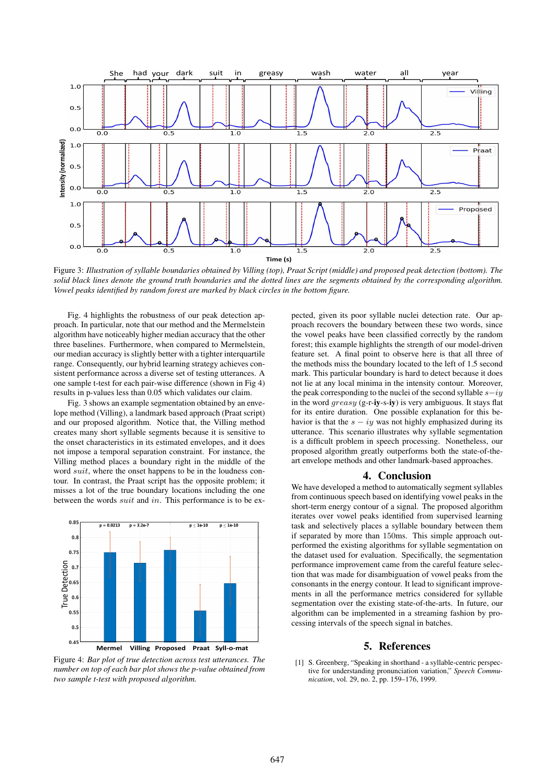

Figure 3: *Illustration of syllable boundaries obtained by Villing (top), Praat Script (middle) and proposed peak detection (bottom). The solid black lines denote the ground truth boundaries and the dotted lines are the segments obtained by the corresponding algorithm. Vowel peaks identified by random forest are marked by black circles in the bottom figure.*

Fig. 4 highlights the robustness of our peak detection approach. In particular, note that our method and the Mermelstein algorithm have noticeably higher median accuracy that the other three baselines. Furthermore, when compared to Mermelstein, our median accuracy is slightly better with a tighter interquartile range. Consequently, our hybrid learning strategy achieves consistent performance across a diverse set of testing utterances. A one sample t-test for each pair-wise difference (shown in Fig 4) results in p-values less than 0.05 which validates our claim.

Fig. 3 shows an example segmentation obtained by an envelope method (Villing), a landmark based approach (Praat script) and our proposed algorithm. Notice that, the Villing method creates many short syllable segments because it is sensitive to the onset characteristics in its estimated envelopes, and it does not impose a temporal separation constraint. For instance, the Villing method places a boundary right in the middle of the word suit, where the onset happens to be in the loudness contour. In contrast, the Praat script has the opposite problem; it misses a lot of the true boundary locations including the one between the words *suit* and in. This performance is to be ex-



Figure 4: *Bar plot of true detection across test utterances. The number on top of each bar plot shows the p-value obtained from two sample t-test with proposed algorithm.*

pected, given its poor syllable nuclei detection rate. Our approach recovers the boundary between these two words, since the vowel peaks have been classified correctly by the random forest; this example highlights the strength of our model-driven feature set. A final point to observe here is that all three of the methods miss the boundary located to the left of 1.5 second mark. This particular boundary is hard to detect because it does not lie at any local minima in the intensity contour. Moreover, the peak corresponding to the nuclei of the second syllable  $s-iy$ in the word  $qreasy$  (g-r-iy-s-iy) is very ambiguous. It stays flat for its entire duration. One possible explanation for this behavior is that the  $s - iy$  was not highly emphasized during its utterance. This scenario illustrates why syllable segmentation is a difficult problem in speech processing. Nonetheless, our proposed algorithm greatly outperforms both the state-of-theart envelope methods and other landmark-based approaches.

#### 4. Conclusion

We have developed a method to automatically segment syllables from continuous speech based on identifying vowel peaks in the short-term energy contour of a signal. The proposed algorithm iterates over vowel peaks identified from supervised learning task and selectively places a syllable boundary between them if separated by more than 150ms. This simple approach outperformed the existing algorithms for syllable segmentation on the dataset used for evaluation. Specifically, the segmentation performance improvement came from the careful feature selection that was made for disambiguation of vowel peaks from the consonants in the energy contour. It lead to significant improvements in all the performance metrics considered for syllable segmentation over the existing state-of-the-arts. In future, our algorithm can be implemented in a streaming fashion by processing intervals of the speech signal in batches.

#### 5. References

[1] S. Greenberg, "Speaking in shorthand - a syllable-centric perspective for understanding pronunciation variation," *Speech Communication*, vol. 29, no. 2, pp. 159–176, 1999.